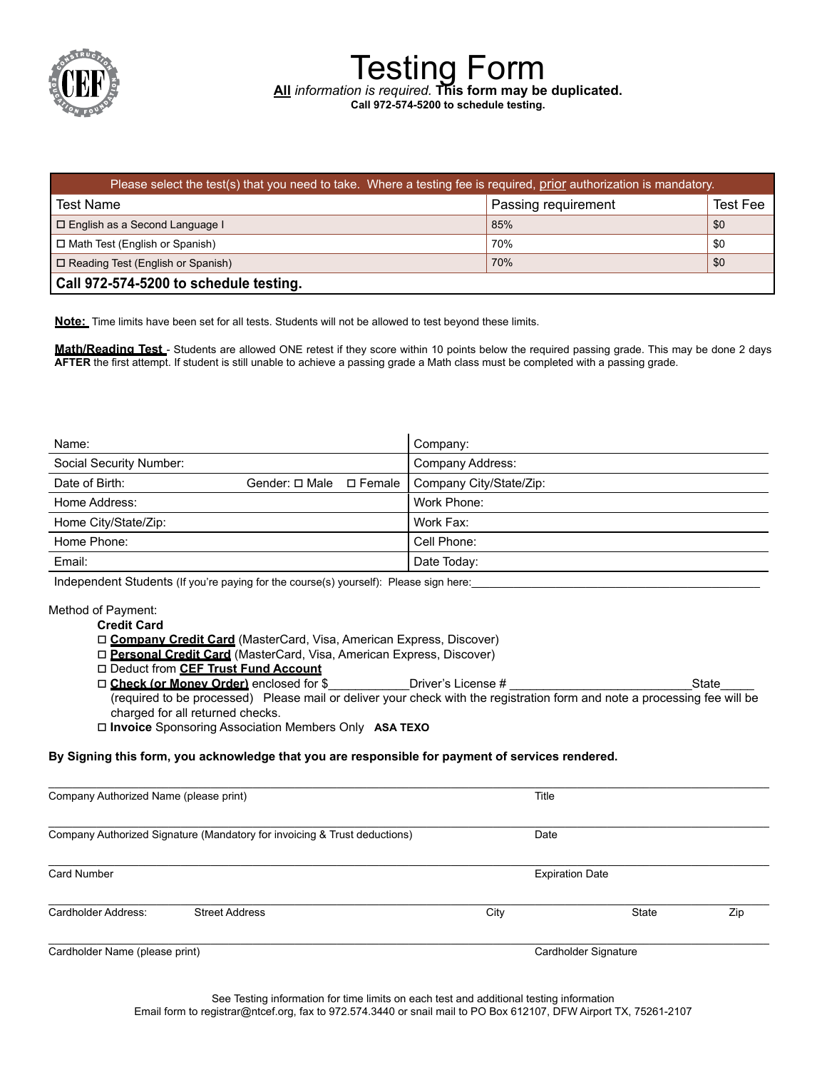

| Please select the test(s) that you need to take. Where a testing fee is required, prior authorization is mandatory. |                     |          |  |
|---------------------------------------------------------------------------------------------------------------------|---------------------|----------|--|
| Test Name                                                                                                           | Passing requirement | Test Fee |  |
| □ English as a Second Language I                                                                                    | 85%                 | \$0      |  |
| □ Math Test (English or Spanish)                                                                                    | 70%                 | \$0      |  |
| $\Box$ Reading Test (English or Spanish)                                                                            | 70%                 | \$0      |  |
| Call 972-574-5200 to schedule testing.                                                                              |                     |          |  |

Testing Form **All** *information is required.* **This form may be duplicated.**

**Call 972-574-5200 to schedule testing.**

**Note:** Time limits have been set for all tests. Students will not be allowed to test beyond these limits.

Math/Reading Test - Students are allowed ONE retest if they score within 10 points below the required passing grade. This may be done 2 days **AFTER** the first attempt. If student is still unable to achieve a passing grade a Math class must be completed with a passing grade.

| Name:                   |                           | Company:                |
|-------------------------|---------------------------|-------------------------|
| Social Security Number: |                           | Company Address:        |
| Date of Birth:          | Gender: □ Male □ Female I | Company City/State/Zip: |
| Home Address:           |                           | Work Phone:             |
| Home City/State/Zip:    |                           | Work Fax:               |
| Home Phone:             |                           | Cell Phone:             |
| Email:                  |                           | Date Today:             |

Independent Students (If you're paying for the course(s) yourself): Please sign here:

### Method of Payment:

#### **Credit Card**

- □ **Company Credit Card** (MasterCard, Visa, American Express, Discover)
- □ **Personal Credit Card** (MasterCard, Visa, American Express, Discover)
- o Deduct from **CEF Trust Fund Account**
- □ Check (or Money Order) enclosed for \$ \_\_\_\_\_\_\_\_\_\_\_\_Driver's License # \_\_\_\_\_\_\_\_\_\_\_\_\_\_\_\_\_\_\_\_\_\_\_\_\_\_\_\_\_\_\_\_\_\_State (required to be processed) Please mail or deliver your check with the registration form and note a processing fee will be charged for all returned checks.
- o **Invoice** Sponsoring Association Members Only **ASA TEXO**

### **By Signing this form, you acknowledge that you are responsible for payment of services rendered.**

| Company Authorized Name (please print)                                    |                       | Title |                        |     |
|---------------------------------------------------------------------------|-----------------------|-------|------------------------|-----|
| Company Authorized Signature (Mandatory for invoicing & Trust deductions) |                       | Date  |                        |     |
| <b>Card Number</b>                                                        |                       |       | <b>Expiration Date</b> |     |
| Cardholder Address:                                                       | <b>Street Address</b> | City  | State                  | Zip |
| Cardholder Name (please print)                                            |                       |       | Cardholder Signature   |     |